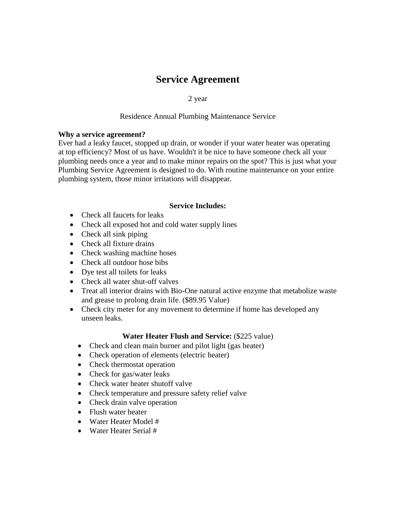# **Service Agreement**

2 year

### Residence Annual Plumbing Maintenance Service

#### **Why a service agreement?**

Ever had a leaky faucet, stopped up drain, or wonder if your water heater was operating at top efficiency? Most of us have. Wouldn't it be nice to have someone check all your plumbing needs once a year and to make minor repairs on the spot? This is just what your Plumbing Service Agreement is designed to do. With routine maintenance on your entire plumbing system, those minor irritations will disappear.

## **Service Includes:**

- Check all faucets for leaks
- Check all exposed hot and cold water supply lines
- Check all sink piping
- Check all fixture drains
- Check washing machine hoses
- Check all outdoor hose bibs
- Dye test all toilets for leaks
- Check all water shut-off valves
- Treat all interior drains with Bio-One natural active enzyme that metabolize waste and grease to prolong drain life. (\$89.95 Value)
- Check city meter for any movement to determine if home has developed any unseen leaks.

## **Water Heater Flush and Service:** (\$225 value)

- Check and clean main burner and pilot light (gas heater)
- Check operation of elements (electric heater)
- Check thermostat operation
- Check for gas/water leaks
- Check water heater shutoff valve
- Check temperature and pressure safety relief valve
- Check drain valve operation
- Flush water heater
- Water Heater Model #
- Water Heater Serial #